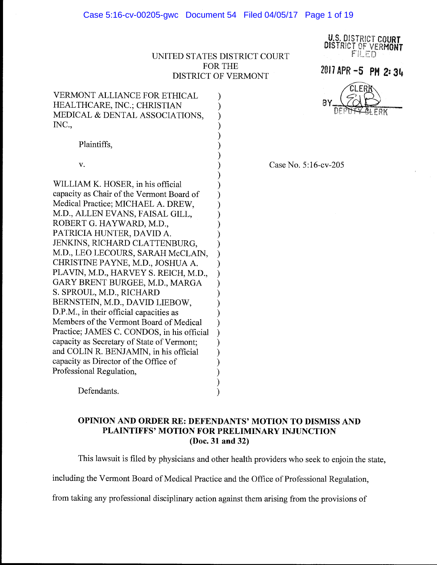U.S. DiSTR!CT COURT DISTRICT OF VERMONT  $\tt F'ILED$ 

## UNITED STATES DISTRICT COURT FOR THE DISTRICT OF VERMONT

) ) ) ) ) )

)

2017 APR **-5 PH** *2:* **34** 

VERMONT ALLIANCE FOR ETHICAL )

) Case No. 5:16-cv-205

Plaintiffs, v. WILLIAM K. HOSER, in his official capacity as Chair of the Vermont Board of ) Medical Practice; MICHAEL A. DREW, ) M.D., ALLEN EVANS, FAISAL GILL, ROBERT G. HAYWARD, M.D., ) PATRICIA HUNTER, DAVID A. JENKINS, RICHARD CLATTENBURG, M.D., LEO LECOURS, SARAH McCLAIN, CHRISTINE PAYNE, M.D., JOSHUA A. ) PLAVIN, M.D., HARVEY S. REICH, M.D., GARY BRENT BURGEE, M.D., MARGA ) S. SPROUL, M.D., RICHARD ) BERNSTEIN, M.D., DAVID LIEBOW, ) D.P.M., in their official capacities as Members of the Vermont Board of Medical ) Practice; JAMES C. CONDOS, in his official ) capacity as Secretary of State of Vermont; ) and COLIN R. BENJAMIN, in his official ) capacity as Director of the Office of ) Professional Regulation, )

HEALTHCARE, INC.; CHRISTIAN

INC.,

MEDICAL & DENTAL ASSOCIATIONS,

Defendants.

# **OPINION AND ORDER RE: DEFENDANTS' MOTION TO DISMISS AND PLAINTIFFS' MOTION FOR PRELIMINARY INJUNCTION (Doc. 31 and** 32)

) )

This lawsuit is filed by physicians and other health providers who seek to enjoin the state,

including the Vermont Board of Medical Practice and the Office of Professional Regulation,

from taking any professional disciplinary action against them arising from the provisions of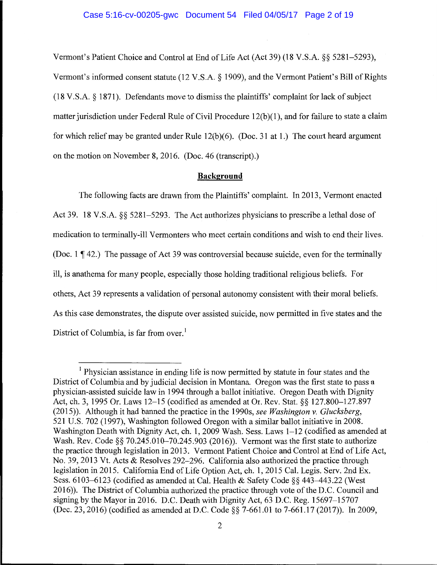### Case 5:16-cv-00205-gwc Document 54 Filed 04/05/17 Page 2 of 19

Vermont's Patient Choice and Control at End of Life Act (Act 39) (18 V.S.A. §§ 5281-5293), Vermont's informed consent statute (12 V.S.A. § 1909), and the Vermont Patient's Bill of Rights (18 V.S.A. § 1871 ). Defendants move to dismiss the plaintiffs' complaint for lack of subject matter jurisdiction under Federal Rule of Civil Procedure 12(b)(1), and for failure to state a claim for which relief may be granted under Rule 12(b)(6). (Doc. 31 at 1.) The court heard argument on the motion on November 8, 2016. (Doc. 46 (transcript).)

## **Background**

The following facts are drawn from the Plaintiffs' complaint. In 2013, Vermont enacted Act 39. 18 V.S.A. §§ 5281-5293. The Act authorizes physicians to prescribe a lethal dose of medication to terminally-ill Vermonters who meet certain conditions and wish to end their lives. (Doc. 1  $\P$  42.) The passage of Act 39 was controversial because suicide, even for the terminally ill, is anathema for many people, especially those holding traditional religious beliefs. For others, Act 39 represents a validation of personal autonomy consistent with their moral beliefs. As this case demonstrates, the dispute over assisted suicide, now permitted in five states and the District of Columbia, is far from over.<sup>1</sup>

<sup>&</sup>lt;sup>1</sup> Physician assistance in ending life is now permitted by statute in four states and the District of Columbia and by judicial decision in Montana. Oregon was the first state to pass a physician-assisted suicide law in 1994 through a ballot initiative. Oregon Death with Dignity Act, ch. 3, 1995 Or. Laws 12-15 (codified as amended at Or. Rev. Stat. §§ 127.800-127.897 (2015)). Although it had banned the practice in the 1990s, *see Washington v. Glucksberg,*  521 U.S. 702 (1997), Washington followed Oregon with a similar ballot initiative in 2008. Washington Death with Dignity Act, ch. 1, 2009 Wash. Sess. Laws 1-12 (codified as amended at Wash. Rev. Code §§ 70.245.010-70.245.903 (2016)). Vermont was the first state to authorize the practice through legislation in 2013. Vermont Patient Choice and Control at End of Life Act, No. 39, 2013 Vt. Acts & Resolves 292-296. California also authorized the practice through legislation in 2015. California End of Life Option Act, ch. 1, 2015 Cal. Legis. Serv. 2nd Ex. Sess. 6103-6123 (codified as amended at Cal. Health & Safety Code§§ 443--443.22 (West 2016)). The District of Columbia authorized the practice through vote of the D.C. Council and signing by the Mayor in 2016. D.C. Death with Dignity Act, 63 D.C. Reg. 15697-15707 (Dec. 23, 2016) (codified as amended at D.C. Code §§ 7-661.01 to 7-661.17 (2017)). In 2009,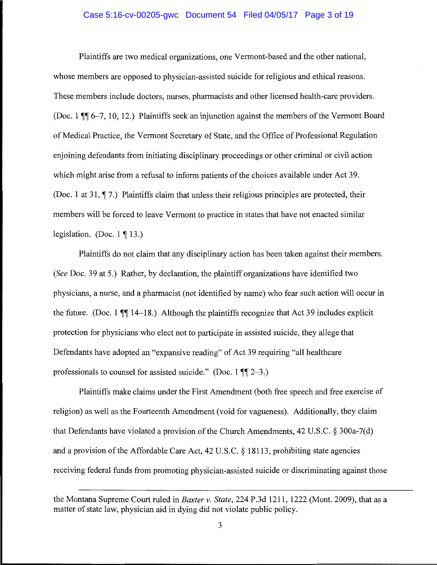## Case 5:16-cv-00205-gwc Document 54 Filed 04/05/17 Page 3 of 19

Plaintiffs are two medical organizations, one Vermont-based and the other national, whose members are opposed to physician-assisted suicide for religious and ethical reasons. These members include doctors, nurses, pharmacists and other licensed health-care providers. (Doc. 1  $\P$  $\parallel$  6-7, 10, 12.) Plaintiffs seek an injunction against the members of the Vermont Board of Medical Practice, the Vermont Secretary of State, and the Office of Professional Regulation enjoining defendants from initiating disciplinary proceedings or other criminal or civil action which might arise from a refusal to inform patients of the choices available under Act 39. (Doc. 1 at 31,  $\P$ 7.) Plaintiffs claim that unless their religious principles are protected, their members will be forced to leave Vermont to practice in states that have not enacted similar legislation. (Doc.  $1 \nvert 13.$ )

Plaintiffs do not claim that any disciplinary action has been taken against their members. *(See* Doc. 39 at 5.) Rather, by declaration, the plaintiff organizations have identified two physicians, a nurse, and a pharmacist (not identified by name) who fear such action will occur in the future. (Doc. 1  $\P$ [ $\parallel$  14-18.) Although the plaintiffs recognize that Act 39 includes explicit protection for physicians who elect not to participate in assisted suicide, they allege that Defendants have adopted an "expansive reading" of Act 39 requiring "all healthcare professionals to counsel for assisted suicide." (Doc. 1  $\P$  $[2-3.$ )

Plaintiffs make claims under the First Amendment (both free speech and free exercise of religion) as well as the Fourteenth Amendment (void for vagueness). Additionally, they claim that Defendants have violated a provision of the Church Amendments, 42 U.S.C. § 300a-7(d) and a provision of the Affordable Care Act, 42 U.S.C. § 18113, prohibiting state agencies receiving federal funds from promoting physician-assisted suicide or discriminating against those

the Montana Supreme Court ruled in *Baxter v. State,* 224 P.3d 1211, 1222 (Mont. 2009), that as a matter of state law, physician aid in dying did not violate public policy.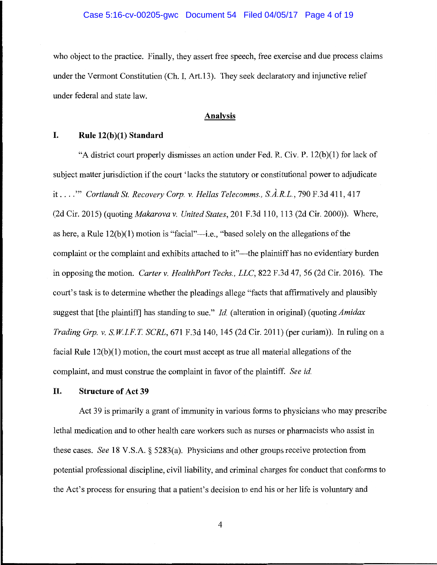who object to the practice. Finally, they assert free speech, free exercise and due process claims under the Vermont Constitution (Ch. I, Art.13). They seek declaratory and injunctive relief under federal and state law.

## **Analysis**

# **I. Rule 12(b )(1) Standard**

"A district court properly dismisses an action under Fed. R. Civ. P. 12(b)(l) for lack of subject matter jurisdiction if the court 'lacks the statutory or constitutional power to adjudicate it .... "' *Cortlandt St. Recovery Corp. v. Hellas Telecomms., S.A.R.L.,* 790 F.3d 411, 417 (2d Cir. 2015) (quoting *Makarova v. United States,* 201 F.3d 110, 113 (2d Cir. 2000)). Where, as here, a Rule  $12(b)(1)$  motion is "facial"—i.e., "based solely on the allegations of the complaint or the complaint and exhibits attached to it"—the plaintiff has no evidentiary burden in opposing the motion. *Carter v. HealthPort Techs., LLC,* 822 F.3d 47, 56 (2d Cir. 2016). The court's task is to determine whether the pleadings allege "facts that affirmatively and plausibly suggest that [the plaintiff] has standing to sue." *Id.* (alteration in original) *(quotingAmidax Trading Grp. v. S.W.I.F.T. SCRL*, 671 F.3d 140, 145 (2d Cir. 2011) (per curiam)). In ruling on a facial Rule  $12(b)(1)$  motion, the court must accept as true all material allegations of the complaint, and must construe the complaint in favor of the plaintiff. *See id.* 

## **II. Structure of Act 39**

Act 39 is primarily a grant of immunity in various forms to physicians who may prescribe lethal medication and to other health care workers such as nurses or pharmacists who assist in these cases. *See* 18 V.S.A. § 5283(a). Physicians and other groups receive protection from potential professional discipline, civil liability, and criminal charges for conduct that conforms to the Act's process for ensuring that a patient's decision to end his or her life is voluntary and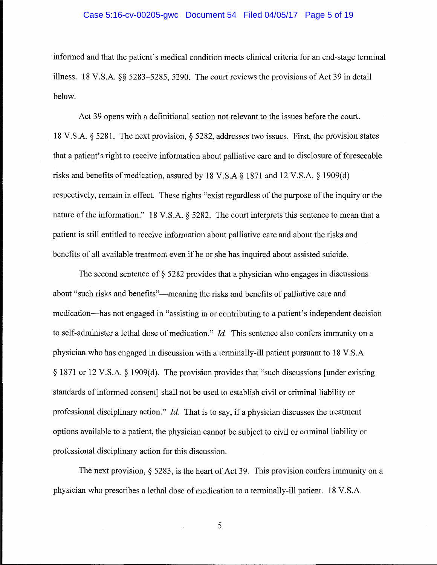### Case 5:16-cv-00205-gwc Document 54 Filed 04/05/17 Page 5 of 19

informed and that the patient's medical condition meets clinical criteria for an end-stage terminal illness. 18 V.S.A. §§ 5283-5285, 5290. The court reviews the provisions of Act 39 in detail below.

Act 39 opens with a definitional section not relevant to the issues before the court. 18 V.S.A. § 5281. The next provision,§ 5282, addresses two issues. First, the provision states that a patient's right to receive information about palliative care and to disclosure of foreseeable risks and benefits of medication, assured by 18 V.S.A  $\S$  1871 and 12 V.S.A.  $\S$  1909(d) respectively, remain in effect. These rights "exist regardless of the purpose of the inquiry or the nature of the information." 18 V.S.A. § 5282. The court interprets this sentence to mean that a patient is still entitled to receive information about palliative care and about the risks and benefits of all available treatment even if he or she has inquired about assisted suicide.

The second sentence of § 5282 provides that a physician who engages in discussions about "such risks and benefits"-meaning the risks and benefits of palliative care and medication-has not engaged in "assisting in or contributing to a patient's independent decision to self-administer a lethal dose of medication." *Id*. This sentence also confers immunity on a physician who has engaged in discussion with a terminally-ill patient pursuant to 18 V.S.A § 1871 or 12 V.S.A. § 1909(d). The provision provides that "such discussions [under existing standards of informed consent] shall not be used to establish civil or criminal liability or professional disciplinary action." *Id*. That is to say, if a physician discusses the treatment options available to a patient, the physician cannot be subject to civil or criminal liability or professional disciplinary action for this discussion.

The next provision,§ 5283, is the heart of Act 39. This provision confers immunity on a physician who prescribes a lethal dose of medication to a terminally-ill patient. 18 V.S.A.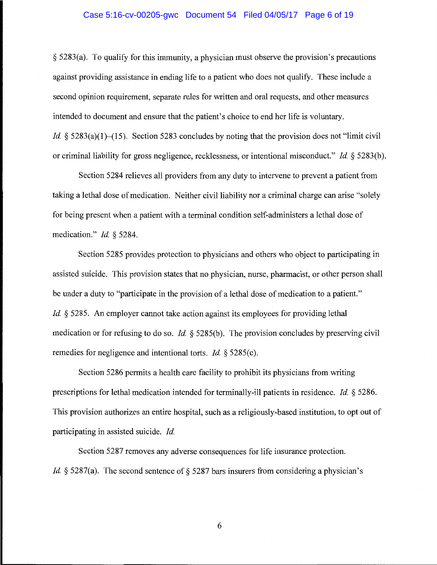### Case 5:16-cv-00205-gwc Document 54 Filed 04/05/17 Page 6 of 19

§ 5283(a). To qualify for this immunity, a physician must observe the provision's precautions against providing assistance in ending life to a patient who does not qualify. These include a second opinion requirement, separate rules for written and oral requests, and other measures intended to document and ensure that the patient's choice to end her life is voluntary. *Id.* § 5283(a)(1)-(15). Section 5283 concludes by noting that the provision does not "limit civil" or criminal liability for gross negligence, recklessness, or intentional misconduct." *Id* § 5283(b ).

Section 5284 relieves all providers from any duty to intervene to prevent a patient from taking a lethal dose of medication. Neither civil liability nor a criminal charge can arise "solely for being present when a patient with a terminal condition self-administers a lethal dose of medication." *Id* § 5284.

Section 5285 provides protection to physicians and others who object to participating in assisted suicide. This provision states that no physician, nurse, pharmacist, or other person shall be under a duty to "participate in the provision of a lethal dose of medication to a patient." *Id.* § 5285. An employer cannot take action against its employees for providing lethal medication or for refusing to do so. *Id.* § 5285(b). The provision concludes by preserving civil remedies for negligence and intentional torts. *Id.* § 5285(c).

Section 5286 permits a health care facility to prohibit its physicians from writing prescriptions for lethal medication intended for terminally-ill patients in residence. *Id* § 5286. This provision authorizes an entire hospital, such as a religiously-based institution, to opt out of participating in assisted suicide. *Id* 

Section 5287 removes any adverse consequences for life insurance protection. *Id.* § 5287(a). The second sentence of § 5287 bars insurers from considering a physician's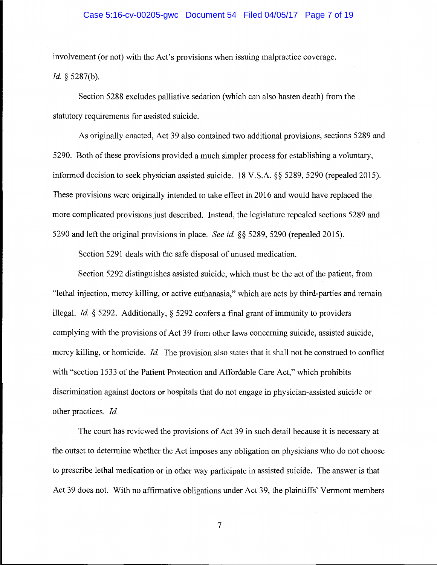### Case 5:16-cv-00205-gwc Document 54 Filed 04/05/17 Page 7 of 19

involvement (or not) with the Act's provisions when issuing malpractice coverage. *Id.* § 5287(b).

Section 5288 excludes palliative sedation (which can also hasten death) from the statutory requirements for assisted suicide.

As originally enacted, Act 39 also contained two additional provisions, sections 5289 and 5290. Both of these provisions provided a much simpler process for establishing a voluntary, informed decision to seek physician assisted suicide. 18 V.S.A. §§ 5289, 5290 (repealed 2015). These provisions were originally intended to take effect in 2016 and would have replaced the more complicated provisions just described. Instead, the legislature repealed sections 5289 and 5290 and left the original provisions in place. *See id.* §§ 5289, 5290 (repealed 2015).

Section 5291 deals with the safe disposal of unused medication.

Section 5292 distinguishes assisted suicide, which must be the act of the patient, from "lethal injection, mercy killing, or active euthanasia," which are acts by third-parties and remain illegal. *Id.* § 5292. Additionally, § 5292 confers a final grant of immunity to providers complying with the provisions of Act 39 from other laws concerning suicide, assisted suicide, mercy killing, or homicide. *Id.* The provision also states that it shall not be construed to conflict with "section 1533 of the Patient Protection and Affordable Care Act," which prohibits discrimination against doctors or hospitals that do not engage in physician-assisted suicide or other practices. *Id.* 

The court has reviewed the provisions of Act 39 in such detail because it is necessary at the outset to determine whether the Act imposes any obligation on physicians who do not choose to prescribe lethal medication or in other way participate in assisted suicide. The answer is that Act 39 does not. With no affirmative obligations under Act 39, the plaintiffs' Vermont members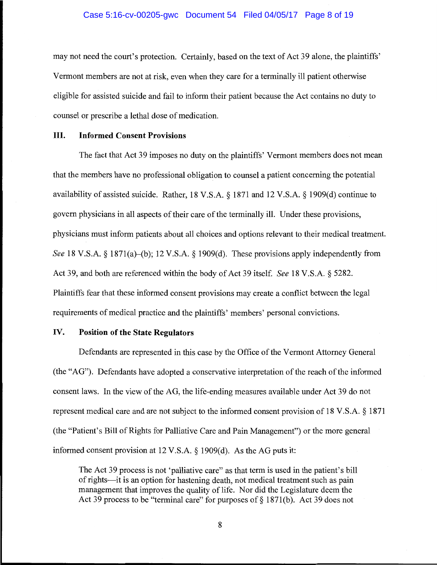#### Case 5:16-cv-00205-gwc Document 54 Filed 04/05/17 Page 8 of 19

may not need the court's protection. Certainly, based on the text of Act 39 alone, the plaintiffs' Vermont members are not at risk, even when they care for a terminally ill patient otherwise eligible for assisted suicide and fail to inform their patient because the Act contains no duty to counsel or prescribe a lethal dose of medication.

## III. **Informed Consent Provisions**

The fact that Act 39 imposes no duty on the plaintiffs' Vermont members does not mean that the members have no professional obligation to counsel a patient concerning the potential availability of assisted suicide. Rather, 18 V.S.A. § 1871 and 12 V.S.A. § 1909(d) continue to govern physicians in all aspects of their care of the terminally ill. Under these provisions, physicians must inform patients about all choices and options relevant to their medical treatment. *See* 18 V.S.A. § 1871(a)-(b); 12 V.S.A. § 1909(d). These provisions apply independently from Act 39, and both are referenced within the body of Act 39 itself. *See* 18 V.S.A. § 5282. Plaintiffs fear that these informed consent provisions may create a conflict between the legal requirements of medical practice and the plaintiffs' members' personal convictions.

## IV. **Position of the State Regulators**

Defendants are represented in this case by the Office of the Vermont Attorney General (the "AG"). Defendants have adopted a conservative interpretation of the reach of the informed consent laws. In the view of the AG, the life-ending measures available under Act 39 do not represent medical care and are not subject to the informed consent provision of 18 V.S.A. § 1871 (the "Patient's Bill of Rights for Palliative Care and Pain Management") or the more general informed consent provision at 12 V.S.A. § 1909(d). As the AG puts it:

The Act 39 process is not 'palliative care" as that term is used in the patient's bill of rights-it is an option for hastening death, not medical treatment such as pain management that improves the quality of life. Nor did the Legislature deem the Act 39 process to be "terminal care" for purposes of  $\S$  1871(b). Act 39 does not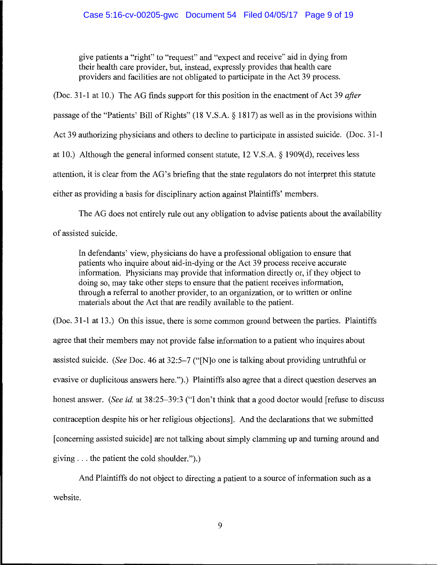give patients a "right" to "request" and "expect and receive" aid in dying from their health care provider, but, instead, expressly provides that health care providers and facilities are not obligated to participate in the Act 39 process.

(Doc. 31-1 at 10.) The AG finds support for this position in the enactment of Act 39 *after* passage of the "Patients' Bill of Rights" (18 V.S.A. § 1817) as well as in the provisions within Act 39 authorizing physicians and others to decline to participate in assisted suicide. (Doc. 31-1 at 10.) Although the general informed consent statute, 12 V.S.A. § 1909(d), receives less attention, it is clear from the AG's briefing that the state regulators do not interpret this statute either as providing a basis for disciplinary action against Plaintiffs' members.

The AG does not entirely rule out any obligation to advise patients about the availability of assisted suicide.

In defendants' view, physicians do have a professional obligation to ensure that patients who inquire about aid-in-dying or the Act 39 process receive accurate information. Physicians may provide that information directly or, if they object to doing so, may take other steps to ensure that the patient receives information, through a referral to another provider, to an organization, or to written or online materials about the Act that are readily available to the patient.

(Doc. 31-1 at 13.) On this issue, there is some common ground between the parties. Plaintiffs agree that their members may not provide false information to a patient who inquires about assisted suicide. *(See* Doc. 46 at 32:5-7 ("[N]o one is talking about providing untruthful or evasive or duplicitous answers here.").) Plaintiffs also agree that a direct question deserves an honest answer. *(See id.* at 38:25-39:3 ("I don't think that a good doctor would [refuse to discuss contraception despite his or her religious objections]. And the declarations that we submitted [concerning assisted suicide] are not talking about simply clamming up and turning around and giving ... the patient the cold shoulder.").)

And Plaintiffs do not object to directing a patient to a source of information such as a website.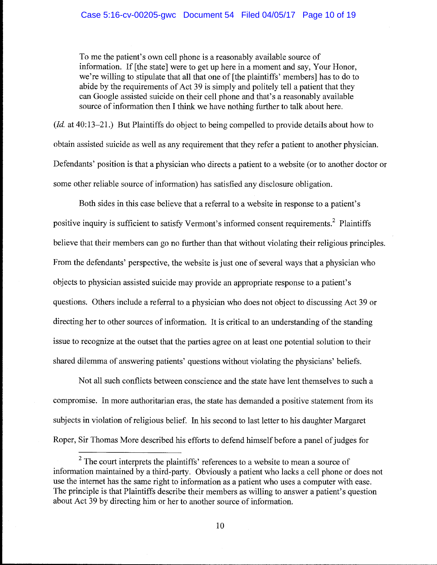### Case 5:16-cv-00205-gwc Document 54 Filed 04/05/17 Page 10 of 19

To me the patient's own cell phone is a reasonably available source of information. If [the state] were to get up here in a moment and say, Your Honor, we're willing to stipulate that all that one of [the plaintiffs' members] has to do to abide by the requirements of Act 39 is simply and politely tell a patient that they can Google assisted suicide on their cell phone and that's a reasonably available source of information then I think we have nothing further to talk about here.

(*Id.* at 40:13–21.) But Plaintiffs do object to being compelled to provide details about how to obtain assisted suicide as well as any requirement that they refer a patient to another physician. Defendants' position is that a physician who directs a patient to a website (or to another doctor or some other reliable source of information) has satisfied any disclosure obligation.

Both sides in this case believe that a referral to a website in response to a patient's positive inquiry is sufficient to satisfy Vermont's informed consent requirements.<sup>2</sup> Plaintiffs believe that their members can go no further than that without violating their religious principles. From the defendants' perspective, the website is just one of several ways that a physician who objects to physician assisted suicide may provide an appropriate response to a patient's questions. Others include a referral to a physician who does not object to discussing Act 39 or directing her to other sources of information. It is critical to an understanding of the standing issue to recognize at the outset that the parties agree on at least one potential solution to their shared dilemma of answering patients' questions without violating the physicians' beliefs.

Not all such conflicts between conscience and the state have lent themselves to such a compromise. In more authoritarian eras, the state has demanded a positive statement from its subjects in violation of religious belief. In his second to last letter to his daughter Margaret Roper, Sir Thomas More described his efforts to defend himself before a panel of judges for

 $2$  The court interprets the plaintiffs' references to a website to mean a source of information maintained by a third-party. Obviously a patient who lacks a cell phone or does not use the internet has the same right to information as a patient who uses a computer with ease. The principle is that Plaintiffs describe their members as willing to answer a patient's question about Act 39 by directing him or her to another source of information.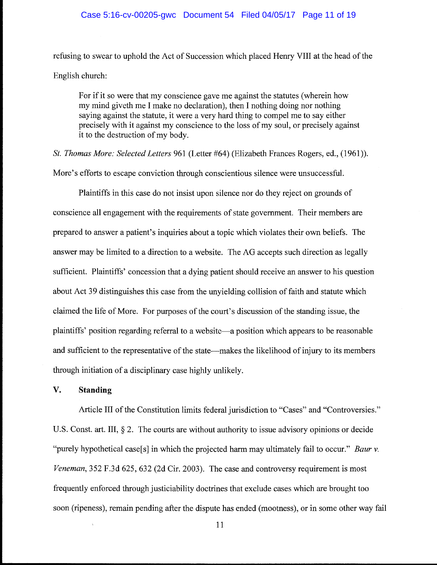#### Case 5:16-cv-00205-gwc Document 54 Filed 04/05/17 Page 11 of 19

refusing to swear to uphold the Act of Succession which placed Henry VIII at the head of the English church:

For if it so were that my conscience gave me against the statutes (wherein how my mind giveth me I make no declaration), then I nothing doing nor nothing saying against the statute, it were a very hard thing to compel me to say either precisely with it against my conscience to the loss of my soul, or precisely against it to the destruction of my body.

*St. Thomas More: Selected Letters* 961 (Letter #64) (Elizabeth Frances Rogers, ed., (1961)). More's efforts to escape conviction through conscientious silence were unsuccessful.

Plaintiffs in this case do not insist upon silence nor do they reject on grounds of conscience all engagement with the requirements of state government. Their members are prepared to answer a patient's inquiries about a topic which violates their own beliefs. The answer may be limited to a direction to a website. The AG accepts such direction as legally sufficient. Plaintiffs' concession that a dying patient should receive an answer to his question about Act 39 distinguishes this case from the unyielding collision of faith and statute which claimed the life of More. For purposes of the court's discussion of the standing issue, the plaintiffs' position regarding referral to a website-a position which appears to be reasonable and sufficient to the representative of the state—makes the likelihood of injury to its members through initiation of a disciplinary case highly unlikely.

# **V. Standing**

Article III of the Constitution limits federal jurisdiction to "Cases" and "Controversies." U.S. Const. art. III,  $\S 2$ . The courts are without authority to issue advisory opinions or decide "purely hypothetical case[s] in which the projected harm may ultimately fail to occur." *Baur v. Veneman,* 352 F.3d 625, 632 (2d Cir. 2003). The case and controversy requirement is most frequently enforced through justiciability doctrines that exclude cases which are brought too soon (ripeness), remain pending after the dispute has ended (mootness), or in some other way fail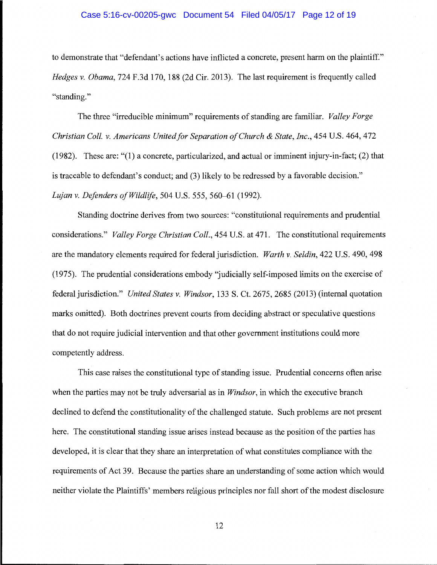#### Case 5:16-cv-00205-gwc Document 54 Filed 04/05/17 Page 12 of 19

to demonstrate that "defendant's actions have inflicted a concrete, present harm on the plaintiff." *Hedges v. Obama,* 724 F.3d 170, 188 (2d Cir. 2013). The last requirement is frequently called "standing."

The three "irreducible minimum" requirements of standing are familiar. *Valley Forge Christian Coll. v. Americans United for Separation of Church* & *State, Inc.,* 454 U.S. 464, 472 (1982). These are: "(1) a concrete, particularized, and actual or imminent injury-in-fact; (2) that is traceable to defendant's conduct; and (3) likely to be redressed by a favorable decision." *Lujan v. Defenders of Wildlife,* 504 U.S. 555, 560-61 (1992).

Standing doctrine derives from two sources: "constitutional requirements and prudential considerations." *Valley Forge Christian Coll.,* 454 U.S. at 471. The constitutional requirements are the mandatory elements required for federal jurisdiction. *Warth v. Seldin,* 422 U.S. 490, 498 (1975). The prudential considerations embody "judicially self-imposed limits on the exercise of federal jurisdiction." *United States v. Windsor,* 133 S. Ct. 2675, 2685 (2013) (internal quotation marks omitted). Both doctrines prevent courts from deciding abstract or speculative questions that do not require judicial intervention and that other government institutions could more competently address.

This case raises the constitutional type of standing issue. Prudential concerns often arise when the parties may not be truly adversarial as in *Windsor,* in which the executive branch declined to defend the constitutionality of the challenged statute. Such problems are not present here. The constitutional standing issue arises instead because as the position of the parties has developed, it is clear that they share an interpretation of what constitutes compliance with the requirements of Act 39. Because the parties share an understanding of some action which would neither violate the Plaintiffs' members religious principles nor fall short of the modest disclosure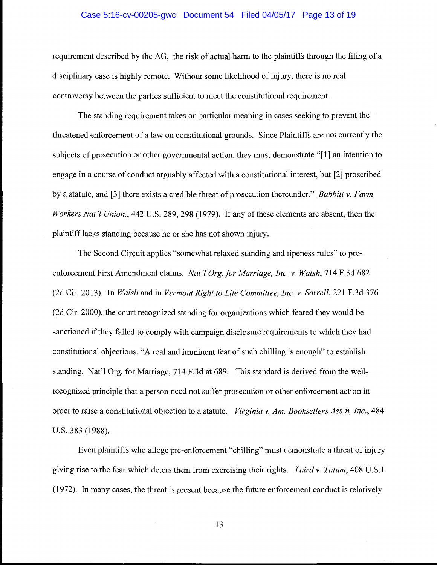### Case 5:16-cv-00205-gwc Document 54 Filed 04/05/17 Page 13 of 19

requirement described by the AG, the risk of actual harm to the plaintiffs through the filing of a disciplinary case is highly remote. Without some likelihood of injury, there is no real controversy between the parties sufficient to meet the constitutional requirement.

The standing requirement takes on particular meaning in cases seeking to prevent the threatened enforcement of a law on constitutional grounds. Since Plaintiffs are not currently the subjects of prosecution or other governmental action, they must demonstrate "[1] an intention to engage in a course of conduct arguably affected with a constitutional interest, but [2] proscribed by a statute, and [3] there exists a credible threat of prosecution thereunder." *Babbitt v. Farm Workers Nat'/ Union,,* 442 U.S. 289, 298 (1979). If any of these elements are absent, then the plaintiff lacks standing because he or she has not shown injury.

The Second Circuit applies "somewhat relaxed standing and ripeness rules" to preenforcement First Amendment claims. *Nat'l Org. for Marriage, Inc. v. Walsh*, 714 F.3d 682 (2d Cir. 2013). In *Walsh* and in *Vermont Right to Life Committee, Inc. v. Sorrell,* 221 F.3d 376 (2d Cir. 2000), the court recognized standing for organizations which feared they would be sanctioned if they failed to comply with campaign disclosure requirements to which they had constitutional objections. "A real and imminent fear of such chilling is enough" to establish standing. Nat'l Org. for Marriage, 714 F.3d at 689. This standard is derived from the wellrecognized principle that a person need not suffer prosecution or other enforcement action in order to raise a constitutional objection to a statute. *Virginia v. Am. Booksellers Ass 'n, Inc.,* 484 U.S. 383 (1988).

Even plaintiffs who allege pre-enforcement "chilling" must demonstrate a threat of injury giving rise to the fear which deters them from exercising their rights. *Laird v. Tatum,* 408 U.S.1 (1972). In many cases, the threat is present because the future enforcement conduct is relatively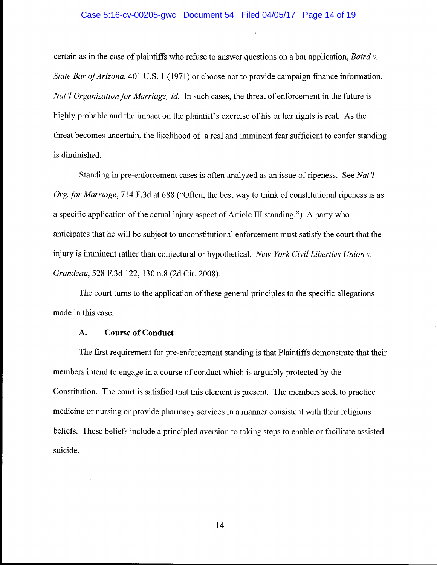## Case 5:16-cv-00205-gwc Document 54 Filed 04/05/17 Page 14 of 19

certain as in the case of plaintiffs who refuse to answer questions on a bar application, *Baird v. State Bar of Arizona,* 401 U.S. 1 (1971) or choose not to provide campaign finance information. *Nat'l Organization for Marriage, Id.* In such cases, the threat of enforcement in the future is highly probable and the impact on the plaintiff's exercise of his or her rights is real. As the threat becomes uncertain, the likelihood of a real and imminent fear sufficient to confer standing is diminished.

Standing in pre-enforcement cases is often analyzed as an issue ofripeness. See *Nat'! Org. for Marriage, 714 F.3d at 688 ("Often, the best way to think of constitutional ripeness is as* a specific application of the actual injury aspect of Article III standing.") A party who anticipates that he will be subject to unconstitutional enforcement must satisfy the court that the injury is imminent rather than conjectural or hypothetical. *New York Civil Liberties Union v. Grandeau,* 528 F.3d 122, 130 n.8 (2d Cir. 2008).

The court turns to the application of these general principles to the specific allegations made in this case.

## **A. Course of Conduct**

The first requirement for pre-enforcement standing is that Plaintiffs demonstrate that their members intend to engage in a course of conduct which is arguably protected by the Constitution. The court is satisfied that this element is present. The members seek to practice medicine or nursing or provide pharmacy services in a manner consistent with their religious beliefs. These beliefs include a principled aversion to taking steps to enable or facilitate assisted suicide.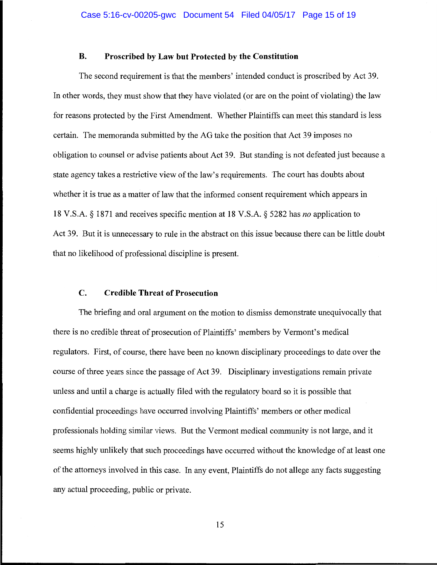## **B. Proscribed by Law but Protected by the Constitution**

The second requirement is that the members' intended conduct is proscribed by Act 39. In other words, they must show that they have violated (or are on the point of violating) the law for reasons protected by the First Amendment. Whether Plaintiffs can meet this standard is less certain. The memoranda submitted by the AG take the position that Act 39 imposes no obligation to counsel or advise patients about Act 39. But standing is not defeated just because a state agency takes a restrictive view of the law's requirements. The court has doubts about whether it is true as a matter of law that the informed consent requirement which appears in 18 V.S.A. § 1871 and receives specific mention at 18 V.S.A. § 5282 has *no* application to Act 39. But it is unnecessary to rule in the abstract on this issue because there can be little doubt that no likelihood of professional discipline is present.

## **C. Credible Threat of Prosecution**

The briefing and oral argument on the motion to dismiss demonstrate unequivocally that there is no credible threat of prosecution of Plaintiffs' members by Vermont's medical regulators. First, of course, there have been no known disciplinary proceedings to date over the course of three years since the passage of Act 39. Disciplinary investigations remain private unless and until a charge is actually filed with the regulatory board so it is possible that confidential proceedings have occurred involving Plaintiffs' members or other medical professionals holding similar views. But the Vermont medical community is not large, and it seems highly unlikely that such proceedings have occurred without the knowledge of at least one of the attorneys involved in this case. In any event, Plaintiffs do not allege any facts suggesting any actual proceeding, public or private.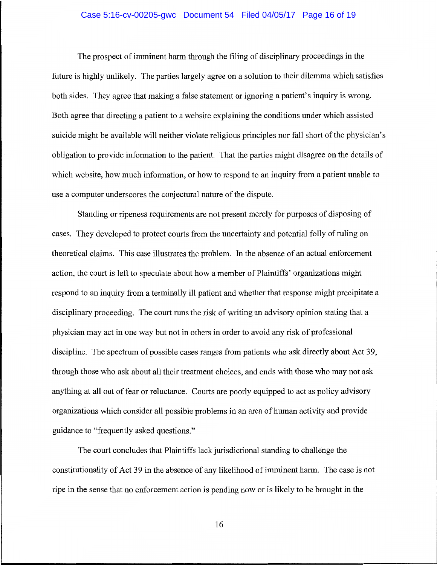## Case 5:16-cv-00205-gwc Document 54 Filed 04/05/17 Page 16 of 19

The prospect of imminent harm through the filing of disciplinary proceedings in the future is highly unlikely. The parties largely agree on a solution to their dilemma which satisfies both sides. They agree that making a false statement or ignoring a patient's inquiry is wrong. Both agree that directing a patient to a website explaining the conditions under which assisted suicide might be available will neither violate religious principles nor fall short of the physician's obligation to provide information to the patient. That the parties might disagree on the details of which website, how much information, or how to respond to an inquiry from a patient unable to use a computer underscores the conjectural nature of the dispute.

Standing or ripeness requirements are not present merely for purposes of disposing of cases. They developed to protect courts from the uncertainty and potential folly of ruling on theoretical claims. This case illustrates the problem. In the absence of an actual enforcement action, the court is left to speculate about how a member of Plaintiffs' organizations might respond to an inquiry from a terminally ill patient and whether that response might precipitate a disciplinary proceeding. The court runs the risk of writing an advisory opinion stating that a physician may act in one way but not in others in order to avoid any risk of professional discipline. The spectrum of possible cases ranges from patients who ask directly about Act 39, through those who ask about all their treatment choices, and ends with those who may not ask anything at all out of fear or reluctance. Courts are poorly equipped to act as policy advisory organizations which consider all possible problems in an area of human activity and provide guidance to "frequently asked questions."

The court concludes that Plaintiffs lack jurisdictional standing to challenge the constitutionality of Act 39 in the absence of any likelihood of imminent harm. The case is not ripe in the sense that no enforcement action is pending now or is likely to be brought in the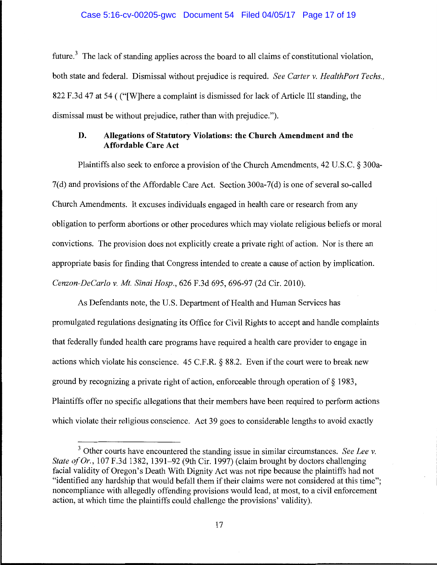### Case 5:16-cv-00205-gwc Document 54 Filed 04/05/17 Page 17 of 19

future.<sup>3</sup> The lack of standing applies across the board to all claims of constitutional violation, both state and federal. Dismissal without prejudice is required. *See Carter v. HealthPort Techs.,*  822 F.3d 47 at 54 ( ("[W]here a complaint is dismissed for lack of Article III standing, the dismissal must be without prejudice, rather than with prejudice.").

# **D. Allegations of Statutory Violations: the Church Amendment and the Affordable Care Act**

Plaintiffs also seek to enforce a provision of the Church Amendments, 42 U.S.C. § 300a-7(d) and provisions of the Affordable Care Act. Section 300a-7(d) is one of several so-called Church Amendments. It excuses individuals engaged in health care or research from any obligation to perform abortions or other procedures which may violate religious beliefs or moral convictions. The provision does not explicitly create a private right of action. Nor is there an appropriate basis for finding that Congress intended to create a cause of action by implication. *Cenzon-DeCarlo v. Mt. Sinai Hosp.,* 626 F.3d 695, 696-97 (2d Cir. 2010).

As Defendants note, the U.S. Department of Health and Human Services has promulgated regulations designating its Office for Civil Rights to accept and handle complaints that federally funded health care programs have required a health care provider to engage in actions which violate his conscience.  $45$  C.F.R. § 88.2. Even if the court were to break new ground by recognizing a private right of action, enforceable through operation of§ 1983, Plaintiffs offer no specific allegations that their members have been required to perform actions which violate their religious conscience. Act 39 goes to considerable lengths to avoid exactly

<sup>3</sup> Other courts have encountered the standing issue in similar circumstances. *See Lee v. State of Or.,* 107 F.3d 1382, 1391-92 (9th Cir. 1997) (claim brought by doctors challenging facial validity of Oregon's Death With Dignity Act was not ripe because the plaintiffs had not "identified any hardship that would befall them if their claims were not considered at this time"; noncompliance with allegedly offending provisions would lead, at most, to a civil enforcement action, at which time the plaintiffs could challenge the provisions' validity).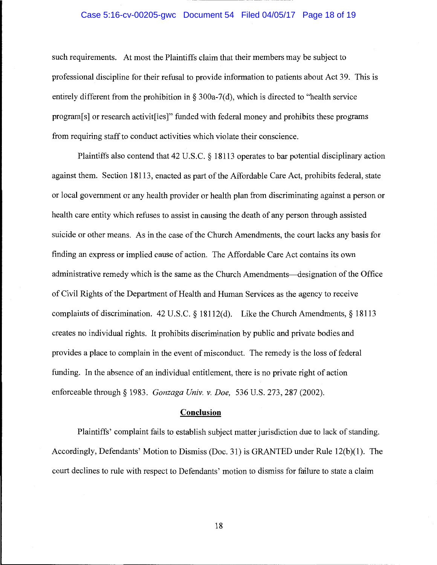## Case 5:16-cv-00205-gwc Document 54 Filed 04/05/17 Page 18 of 19

such requirements. At most the Plaintiffs claim that their members may be subject to professional discipline for their refusal to provide information to patients about Act 39. This is entirely different from the prohibition in § 300a-7(d), which is directed to "health service" program[s] or research activit[ies]" funded with federal money and prohibits these programs from requiring staff to conduct activities which violate their conscience.

Plaintiffs also contend that 42 U.S.C. § 18113 operates to bar potential disciplinary action against them. Section 18113, enacted as part of the Affordable Care Act, prohibits federal, state or local government or any health provider or health plan from discriminating against a person or health care entity which refuses to assist in causing the death of any person through assisted suicide or other means. As in the case of the Church Amendments, the court lacks any basis for finding an express or implied cause of action. The Affordable Care Act contains its own administrative remedy which is the same as the Church Amendments—designation of the Office of Civil Rights of the Department of Health and Human Services as the agency to receive complaints of discrimination. 42 U.S.C. § 18112(d). Like the Church Amendments,§ 18113 creates no individual rights. It prohibits discrimination by public and private bodies and provides a place to complain in the event of misconduct. The remedy is the loss of federal funding. In the absence of an individual entitlement, there is no private right of action enforceable through§ 1983. *Gonzaga Univ. v. Doe,* 536 U.S. 273, 287 (2002).

## **Conclusion**

Plaintiffs' complaint fails to establish subject matter jurisdiction due to lack of standing. Accordingly, Defendants' Motion to Dismiss (Doc. 31) is GRANTED under Rule 12(b)(l). The court declines to rule with respect to Defendants' motion to dismiss for failure to state a claim